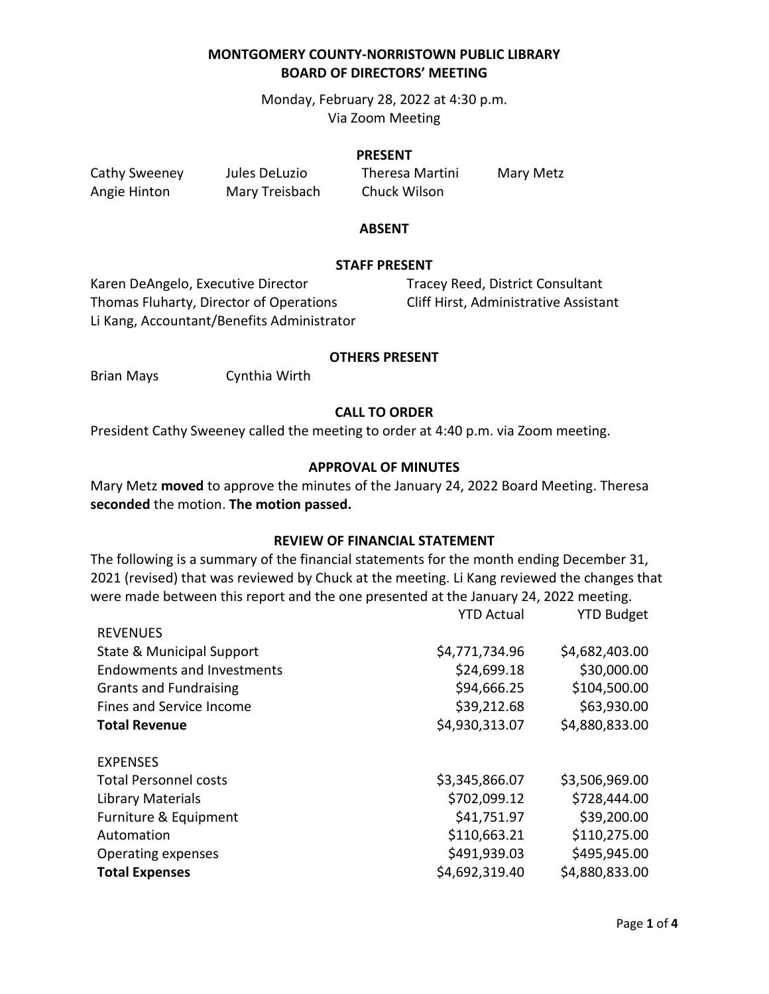Monday, February 28, 2022 at 4:30 p.m. Via Zoom Meeting

#### **PRESENT**

Angie Hinton Mary Treisbach Chuck Wilson

Cathy Sweeney Jules DeLuzio Theresa Martini Mary Metz

### **ABSENT**

### **STAFF PRESENT**

Karen DeAngelo, Executive Director Tracey Reed, District Consultant Thomas Fluharty, Director of Operations Cliff Hirst, Administrative Assistant Li Kang, Accountant/Benefits Administrator

## **OTHERS PRESENT**

Brian Mays Cynthia Wirth

## **CALL TO ORDER**

President Cathy Sweeney called the meeting to order at 4:40 p.m. via Zoom meeting.

## **APPROVAL OF MINUTES**

Mary Metz **moved** to approve the minutes of the January 24, 2022 Board Meeting. Theresa **seconded** the motion. **The motion passed.**

### **REVIEW OF FINANCIAL STATEMENT**

The following is a summary of the financial statements for the month ending December 31, 2021 (revised) that was reviewed by Chuck at the meeting. Li Kang reviewed the changes that were made between this report and the one presented at the January 24, 2022 meeting.

|                                      | <b>YTD Actual</b> | <b>YTD Budget</b> |
|--------------------------------------|-------------------|-------------------|
| <b>REVENUES</b>                      |                   |                   |
| <b>State &amp; Municipal Support</b> | \$4,771,734.96    | \$4,682,403.00    |
| <b>Endowments and Investments</b>    | \$24,699.18       | \$30,000.00       |
| <b>Grants and Fundraising</b>        | \$94,666.25       | \$104,500.00      |
| Fines and Service Income             | \$39,212.68       | \$63,930.00       |
| <b>Total Revenue</b>                 | \$4,930,313.07    | \$4,880,833.00    |
| <b>EXPENSES</b>                      |                   |                   |
| <b>Total Personnel costs</b>         | \$3,345,866.07    | \$3,506,969.00    |
| Library Materials                    | \$702,099.12      | \$728,444.00      |
| Furniture & Equipment                | \$41,751.97       | \$39,200.00       |
| Automation                           | \$110,663.21      | \$110,275.00      |
| Operating expenses                   | \$491,939.03      | \$495,945.00      |
| <b>Total Expenses</b>                | \$4,692,319.40    | \$4,880,833.00    |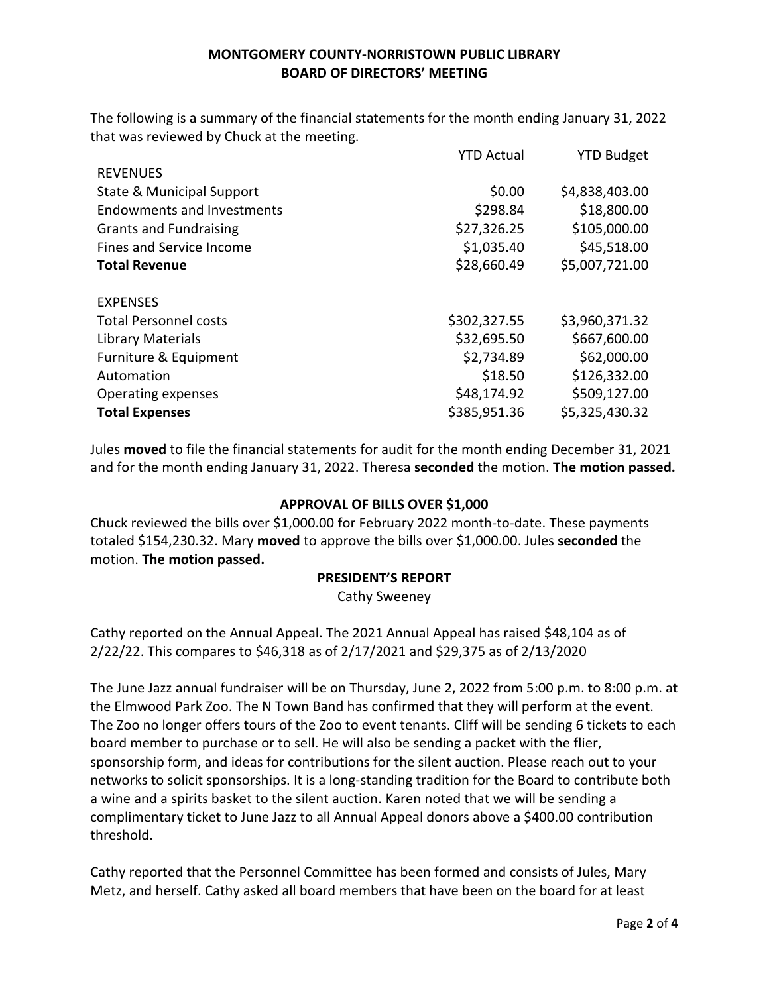The following is a summary of the financial statements for the month ending January 31, 2022 that was reviewed by Chuck at the meeting.

|                                      | <b>YTD Actual</b> | <b>YTD Budget</b> |
|--------------------------------------|-------------------|-------------------|
| <b>REVENUES</b>                      |                   |                   |
| <b>State &amp; Municipal Support</b> | \$0.00            | \$4,838,403.00    |
| <b>Endowments and Investments</b>    | \$298.84          | \$18,800.00       |
| <b>Grants and Fundraising</b>        | \$27,326.25       | \$105,000.00      |
| Fines and Service Income             | \$1,035.40        | \$45,518.00       |
| <b>Total Revenue</b>                 | \$28,660.49       | \$5,007,721.00    |
| <b>EXPENSES</b>                      |                   |                   |
| <b>Total Personnel costs</b>         | \$302,327.55      | \$3,960,371.32    |
| Library Materials                    | \$32,695.50       | \$667,600.00      |
| Furniture & Equipment                | \$2,734.89        | \$62,000.00       |
| Automation                           | \$18.50           | \$126,332.00      |
| Operating expenses                   | \$48,174.92       | \$509,127.00      |
| <b>Total Expenses</b>                | \$385,951.36      | \$5,325,430.32    |

Jules **moved** to file the financial statements for audit for the month ending December 31, 2021 and for the month ending January 31, 2022. Theresa **seconded** the motion. **The motion passed.**

## **APPROVAL OF BILLS OVER \$1,000**

Chuck reviewed the bills over \$1,000.00 for February 2022 month-to-date. These payments totaled \$154,230.32. Mary **moved** to approve the bills over \$1,000.00. Jules **seconded** the motion. **The motion passed.**

### **PRESIDENT'S REPORT**

Cathy Sweeney

Cathy reported on the Annual Appeal. The 2021 Annual Appeal has raised \$48,104 as of 2/22/22. This compares to \$46,318 as of 2/17/2021 and \$29,375 as of 2/13/2020

The June Jazz annual fundraiser will be on Thursday, June 2, 2022 from 5:00 p.m. to 8:00 p.m. at the Elmwood Park Zoo. The N Town Band has confirmed that they will perform at the event. The Zoo no longer offers tours of the Zoo to event tenants. Cliff will be sending 6 tickets to each board member to purchase or to sell. He will also be sending a packet with the flier, sponsorship form, and ideas for contributions for the silent auction. Please reach out to your networks to solicit sponsorships. It is a long-standing tradition for the Board to contribute both a wine and a spirits basket to the silent auction. Karen noted that we will be sending a complimentary ticket to June Jazz to all Annual Appeal donors above a \$400.00 contribution threshold.

Cathy reported that the Personnel Committee has been formed and consists of Jules, Mary Metz, and herself. Cathy asked all board members that have been on the board for at least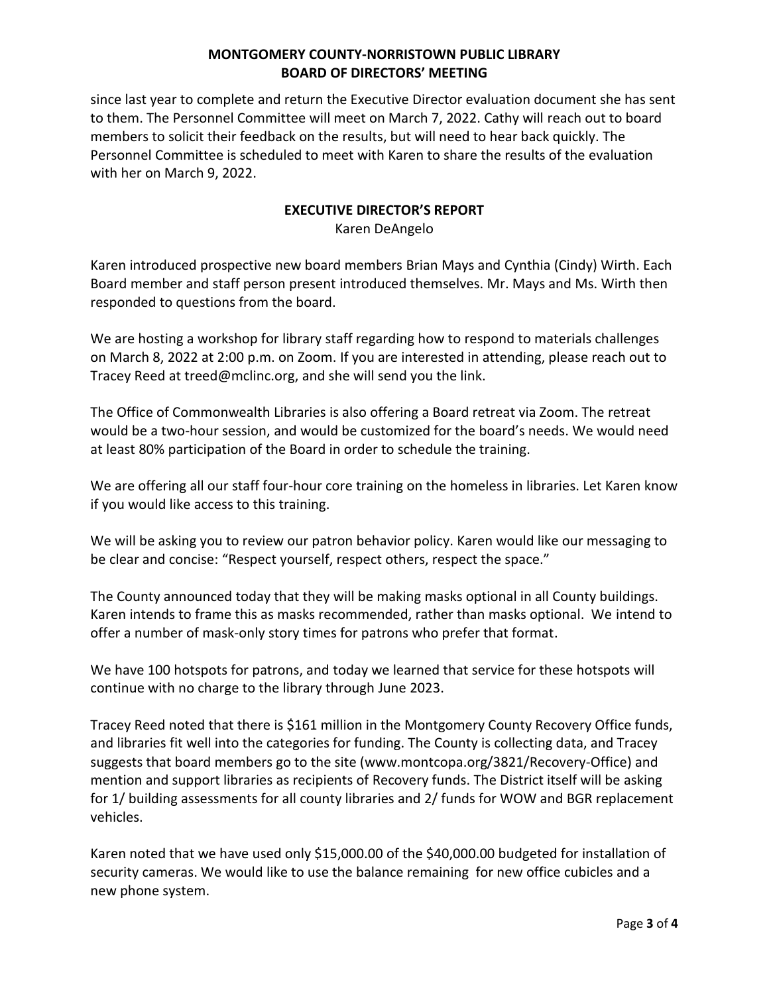since last year to complete and return the Executive Director evaluation document she has sent to them. The Personnel Committee will meet on March 7, 2022. Cathy will reach out to board members to solicit their feedback on the results, but will need to hear back quickly. The Personnel Committee is scheduled to meet with Karen to share the results of the evaluation with her on March 9, 2022.

## **EXECUTIVE DIRECTOR'S REPORT**

Karen DeAngelo

Karen introduced prospective new board members Brian Mays and Cynthia (Cindy) Wirth. Each Board member and staff person present introduced themselves. Mr. Mays and Ms. Wirth then responded to questions from the board.

We are hosting a workshop for library staff regarding how to respond to materials challenges on March 8, 2022 at 2:00 p.m. on Zoom. If you are interested in attending, please reach out to Tracey Reed at treed@mclinc.org, and she will send you the link.

The Office of Commonwealth Libraries is also offering a Board retreat via Zoom. The retreat would be a two-hour session, and would be customized for the board's needs. We would need at least 80% participation of the Board in order to schedule the training.

We are offering all our staff four-hour core training on the homeless in libraries. Let Karen know if you would like access to this training.

We will be asking you to review our patron behavior policy. Karen would like our messaging to be clear and concise: "Respect yourself, respect others, respect the space."

The County announced today that they will be making masks optional in all County buildings. Karen intends to frame this as masks recommended, rather than masks optional. We intend to offer a number of mask-only story times for patrons who prefer that format.

We have 100 hotspots for patrons, and today we learned that service for these hotspots will continue with no charge to the library through June 2023.

Tracey Reed noted that there is \$161 million in the Montgomery County Recovery Office funds, and libraries fit well into the categories for funding. The County is collecting data, and Tracey suggests that board members go to the site (www.montcopa.org/3821/Recovery-Office) and mention and support libraries as recipients of Recovery funds. The District itself will be asking for 1/ building assessments for all county libraries and 2/ funds for WOW and BGR replacement vehicles.

Karen noted that we have used only \$15,000.00 of the \$40,000.00 budgeted for installation of security cameras. We would like to use the balance remaining for new office cubicles and a new phone system.